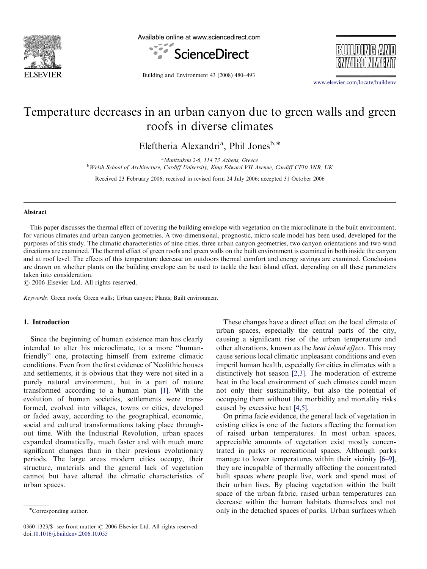

Available online at www.sciencedirect.com





Building and Environment 43 (2008) 480–493

<www.elsevier.com/locate/buildenv>

## Temperature decreases in an urban canyon due to green walls and green roofs in diverse climates

Eleftheria Alexandri<sup>a</sup>, Phil Jones<sup>b,\*</sup>

<sup>a</sup> Mantzakou 2-6, 114 73 Athens, Greece

<sup>b</sup>Welsh School of Architecture, Cardiff University, King Edward VII Avenue, Cardiff CF10 3NB, UK

Received 23 February 2006; received in revised form 24 July 2006; accepted 31 October 2006

#### Abstract

This paper discusses the thermal effect of covering the building envelope with vegetation on the microclimate in the built environment, for various climates and urban canyon geometries. A two-dimensional, prognostic, micro scale model has been used, developed for the purposes of this study. The climatic characteristics of nine cities, three urban canyon geometries, two canyon orientations and two wind directions are examined. The thermal effect of green roofs and green walls on the built environment is examined in both inside the canyon and at roof level. The effects of this temperature decrease on outdoors thermal comfort and energy savings are examined. Conclusions are drawn on whether plants on the building envelope can be used to tackle the heat island effect, depending on all these parameters taken into consideration.

 $C$  2006 Elsevier Ltd. All rights reserved.

Keywords: Green roofs; Green walls; Urban canyon; Plants; Built environment

#### 1. Introduction

Since the beginning of human existence man has clearly intended to alter his microclimate, to a more ''humanfriendly'' one, protecting himself from extreme climatic conditions. Even from the first evidence of Neolithic houses and settlements, it is obvious that they were not sited in a purely natural environment, but in a part of nature transformed according to a human plan [\[1\].](#page--1-0) With the evolution of human societies, settlements were transformed, evolved into villages, towns or cities, developed or faded away, according to the geographical, economic, social and cultural transformations taking place throughout time. With the Industrial Revolution, urban spaces expanded dramatically, much faster and with much more significant changes than in their previous evolutionary periods. The large areas modern cities occupy, their structure, materials and the general lack of vegetation cannot but have altered the climatic characteristics of urban spaces.

These changes have a direct effect on the local climate of urban spaces, especially the central parts of the city, causing a significant rise of the urban temperature and other alterations, known as the heat island effect. This may cause serious local climatic unpleasant conditions and even imperil human health, especially for cities in climates with a distinctively hot season [\[2,3\]](#page--1-0). The moderation of extreme heat in the local environment of such climates could mean not only their sustainability, but also the potential of occupying them without the morbidity and mortality risks caused by excessive heat [\[4,5\]](#page--1-0).

On prima facie evidence, the general lack of vegetation in existing cities is one of the factors affecting the formation of raised urban temperatures. In most urban spaces, appreciable amounts of vegetation exist mostly concentrated in parks or recreational spaces. Although parks manage to lower temperatures within their vicinity [\[6–9\]](#page--1-0), they are incapable of thermally affecting the concentrated built spaces where people live, work and spend most of their urban lives. By placing vegetation within the built space of the urban fabric, raised urban temperatures can decrease within the human habitats themselves and not only in the detached spaces of parks. Urban surfaces which

<sup>\*</sup>Corresponding author.

 $0360-1323/\$  - see front matter  $\odot$  2006 Elsevier Ltd. All rights reserved. doi:[10.1016/j.buildenv.2006.10.055](dx.doi.org/10.1016/j.buildenv.2006.10.055)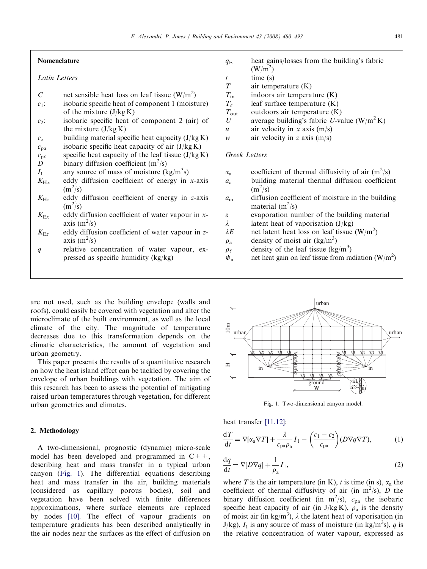#### Nomenclature

#### Latin Letters

- C net sensible heat loss on leaf tissue  $(W/m^2)$
- $c_1$ : isobaric specific heat of component 1 (moisture) of the mixture  $(J/kg K)$
- $c_2$ : isobaric specific heat of component 2 (air) of the mixture  $(J/kg K)$
- $c_c$  building material specific heat capacity (J/kg K)
- $c_{pa}$  isobaric specific heat capacity of air (J/kg K)
- $c_{\text{p}\ell}$  specific heat capacity of the leaf tissue (J/kg K)
- $\overline{D}$  binary diffusion coefficient (m<sup>2</sup>/s)
- $I_1$  any source of mass of moisture (kg/m<sup>3</sup>s)
- $K_{\text{H}x}$  eddy diffusion coefficient of energy in x-axis  $(m^2/s)$
- $K_{\text{Hz}}$  eddy diffusion coefficient of energy in z-axis  $\left(\frac{m^2}{s}\right)$
- $K_{\text{Ex}}$  eddy diffusion coefficient of water vapour in xaxis  $(m^2/s)$
- $K_{\text{Ez}}$  eddy diffusion coefficient of water vapour in zaxis  $(m^2/s)$
- q relative concentration of water vapour, expressed as specific humidity (kg/kg)

are not used, such as the building envelope (walls and roofs), could easily be covered with vegetation and alter the microclimate of the built environment, as well as the local climate of the city. The magnitude of temperature decreases due to this transformation depends on the climatic characteristics, the amount of vegetation and urban geometry.

This paper presents the results of a quantitative research on how the heat island effect can be tackled by covering the envelope of urban buildings with vegetation. The aim of this research has been to assess the potential of mitigating raised urban temperatures through vegetation, for different urban geometries and climates.

### 2. Methodology

A two-dimensional, prognostic (dynamic) micro-scale model has been developed and programmed in  $C++$ , describing heat and mass transfer in a typical urban canyon (Fig. 1). The differential equations describing heat and mass transfer in the air, building materials (considered as capillary—porous bodies), soil and vegetation have been solved with finite differences approximations, where surface elements are replaced by nodes [\[10\]](#page--1-0). The effect of vapour gradients on temperature gradients has been described analytically in the air nodes near the surfaces as the effect of diffusion on

- $q_E$  heat gains/losses from the building's fabric  $(W/m<sup>2</sup>)$
- $t$  time (s)
- $T$  air temperature  $(K)$
- $T_{\text{in}}$  indoors air temperature (K)
- $T_{\ell}$  leaf surface temperature (K)
- $T_{\text{out}}$  outdoors air temperature (K)
- U average building's fabric U-value  $(W/m^2 K)$
- u air velocity in x axis  $(m/s)$
- w air velocity in z axis  $(m/s)$

### Greek Letters

- $\alpha_a$  coefficient of thermal diffusivity of air  $(m^2/s)$
- $a_c$  building material thermal diffusion coefficient  $(m^2/s)$
- $a<sub>m</sub>$  diffusion coefficient of moisture in the building material  $(m^2/s)$
- $\epsilon$  evaporation number of the building material
- $\lambda$  latent heat of vaporisation (J/kg)
- $\lambda E$  net latent heat loss on leaf tissue (W/m<sup>2</sup>)
- $\rho_{\rm a}$  density of moist air (kg/m<sup>3</sup>)
- $\rho_{\ell}$  density of the leaf tissue (kg/m<sup>3</sup>)
- $\Phi_{\rm n}$  net heat gain on leaf tissue from radiation (W/m<sup>2</sup>)



Fig. 1. Two-dimensional canyon model.

heat transfer [\[11,12\]](#page--1-0):

$$
\frac{\mathrm{d}T}{\mathrm{d}t} = \nabla[\alpha_{\rm a}\nabla T] + \frac{\lambda}{c_{\rm pa}\rho_{\rm a}}I_1 - \left(\frac{c_1 - c_2}{c_{\rm pa}}\right)(D\nabla q\nabla T),\tag{1}
$$

$$
\frac{\mathrm{d}q}{\mathrm{d}t} = \nabla[D\nabla q] + \frac{1}{\rho_{\rm a}} I_1,\tag{2}
$$

where T is the air temperature (in K), t is time (in s),  $\alpha_a$  the coefficient of thermal diffusivity of air (in  $m^2/s$ ), D the binary diffusion coefficient (in  $m^2/s$ ),  $c_{pa}$  the isobaric specific heat capacity of air (in J/kg K),  $\rho_a$  is the density of moist air (in kg/m<sup>3</sup>),  $\lambda$  the latent heat of vaporisation (in J/kg),  $I_1$  is any source of mass of moisture (in kg/m<sup>3</sup>s), q is the relative concentration of water vapour, expressed as